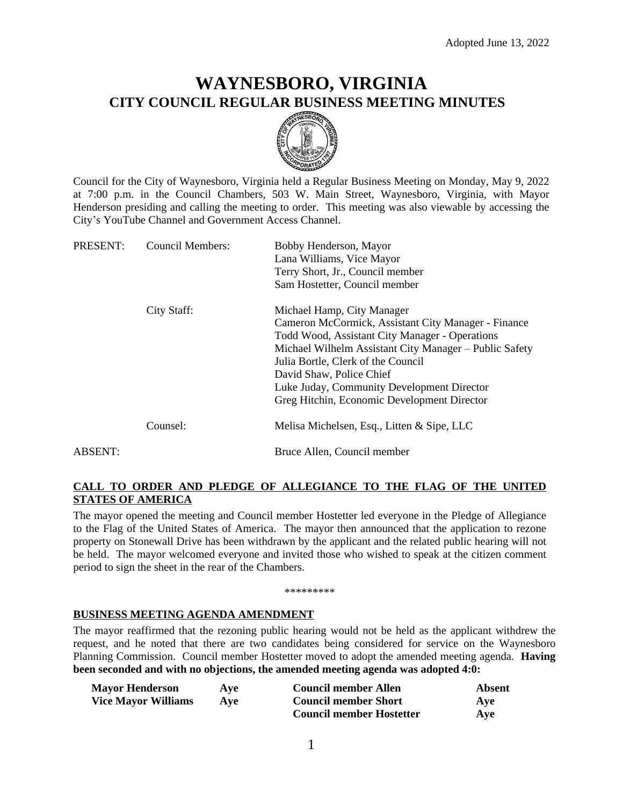# **WAYNESBORO, VIRGINIA CITY COUNCIL REGULAR BUSINESS MEETING MINUTES**



Council for the City of Waynesboro, Virginia held a Regular Business Meeting on Monday, May 9, 2022 at 7:00 p.m. in the Council Chambers, 503 W. Main Street, Waynesboro, Virginia, with Mayor Henderson presiding and calling the meeting to order. This meeting was also viewable by accessing the City's YouTube Channel and Government Access Channel.

| PRESENT: | <b>Council Members:</b> | Bobby Henderson, Mayor<br>Lana Williams, Vice Mayor    |
|----------|-------------------------|--------------------------------------------------------|
|          |                         | Terry Short, Jr., Council member                       |
|          |                         | Sam Hostetter, Council member                          |
|          | City Staff:             | Michael Hamp, City Manager                             |
|          |                         | Cameron McCormick, Assistant City Manager - Finance    |
|          |                         | Todd Wood, Assistant City Manager - Operations         |
|          |                         | Michael Wilhelm Assistant City Manager – Public Safety |
|          |                         | Julia Bortle, Clerk of the Council                     |
|          |                         | David Shaw, Police Chief                               |
|          |                         | Luke Juday, Community Development Director             |
|          |                         | Greg Hitchin, Economic Development Director            |
|          | Counsel:                | Melisa Michelsen, Esq., Litten & Sipe, LLC             |
| ABSENT:  |                         | Bruce Allen, Council member                            |
|          |                         |                                                        |

# **CALL TO ORDER AND PLEDGE OF ALLEGIANCE TO THE FLAG OF THE UNITED STATES OF AMERICA**

The mayor opened the meeting and Council member Hostetter led everyone in the Pledge of Allegiance to the Flag of the United States of America. The mayor then announced that the application to rezone property on Stonewall Drive has been withdrawn by the applicant and the related public hearing will not be held. The mayor welcomed everyone and invited those who wished to speak at the citizen comment period to sign the sheet in the rear of the Chambers.

#### \*\*\*\*\*\*\*\*\*

### **BUSINESS MEETING AGENDA AMENDMENT**

The mayor reaffirmed that the rezoning public hearing would not be held as the applicant withdrew the request, and he noted that there are two candidates being considered for service on the Waynesboro Planning Commission. Council member Hostetter moved to adopt the amended meeting agenda. **Having been seconded and with no objections, the amended meeting agenda was adopted 4:0:**

| <b>Mayor Henderson</b>     | Ave        | <b>Council member Allen</b>     | Absent |
|----------------------------|------------|---------------------------------|--------|
| <b>Vice Mayor Williams</b> | <b>Ave</b> | <b>Council member Short</b>     | Ave    |
|                            |            | <b>Council member Hostetter</b> | Ave    |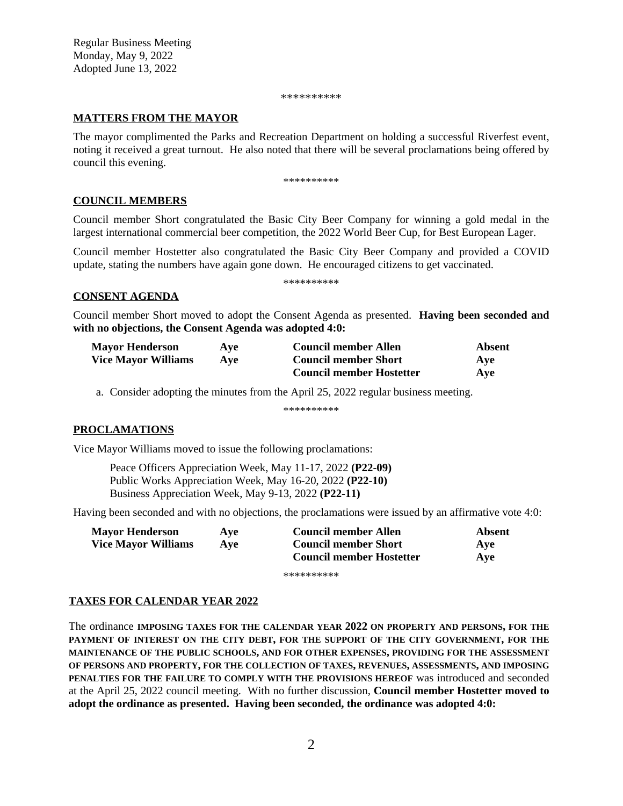Regular Business Meeting Monday, May 9, 2022 Adopted June 13, 2022

\*\*\*\*\*\*\*\*\*\*

#### **MATTERS FROM THE MAYOR**

The mayor complimented the Parks and Recreation Department on holding a successful Riverfest event, noting it received a great turnout. He also noted that there will be several proclamations being offered by council this evening.

\*\*\*\*\*\*\*\*\*\*

#### **COUNCIL MEMBERS**

Council member Short congratulated the Basic City Beer Company for winning a gold medal in the largest international commercial beer competition, the 2022 World Beer Cup, for Best European Lager.

Council member Hostetter also congratulated the Basic City Beer Company and provided a COVID update, stating the numbers have again gone down. He encouraged citizens to get vaccinated.

\*\*\*\*\*\*\*\*\*\*

## **CONSENT AGENDA**

Council member Short moved to adopt the Consent Agenda as presented. **Having been seconded and with no objections, the Consent Agenda was adopted 4:0:**

| <b>Mayor Henderson</b>     | Ave | <b>Council member Allen</b>     | Absent |
|----------------------------|-----|---------------------------------|--------|
| <b>Vice Mayor Williams</b> | Ave | <b>Council member Short</b>     | Ave    |
|                            |     | <b>Council member Hostetter</b> | Ave    |

a. Consider adopting the minutes from the April 25, 2022 regular business meeting.

\*\*\*\*\*\*\*\*\*\*

### **PROCLAMATIONS**

Vice Mayor Williams moved to issue the following proclamations:

Peace Officers Appreciation Week, May 11-17, 2022 **(P22-09)** Public Works Appreciation Week, May 16-20, 2022 **(P22-10)** Business Appreciation Week, May 9-13, 2022 **(P22-11)**

Having been seconded and with no objections, the proclamations were issued by an affirmative vote 4:0:

| <b>Mayor Henderson</b>     | Ave | <b>Council member Allen</b>     | Absent |
|----------------------------|-----|---------------------------------|--------|
| <b>Vice Mayor Williams</b> | Ave | <b>Council member Short</b>     | Ave    |
|                            |     | <b>Council member Hostetter</b> | Ave    |

\*\*\*\*\*\*\*\*\*

### **TAXES FOR CALENDAR YEAR 2022**

The ordinance **IMPOSING TAXES FOR THE CALENDAR YEAR 2022 ON PROPERTY AND PERSONS, FOR THE PAYMENT OF INTEREST ON THE CITY DEBT, FOR THE SUPPORT OF THE CITY GOVERNMENT, FOR THE MAINTENANCE OF THE PUBLIC SCHOOLS, AND FOR OTHER EXPENSES, PROVIDING FOR THE ASSESSMENT OF PERSONS AND PROPERTY, FOR THE COLLECTION OF TAXES, REVENUES, ASSESSMENTS, AND IMPOSING PENALTIES FOR THE FAILURE TO COMPLY WITH THE PROVISIONS HEREOF** was introduced and seconded at the April 25, 2022 council meeting. With no further discussion, **Council member Hostetter moved to adopt the ordinance as presented. Having been seconded, the ordinance was adopted 4:0:**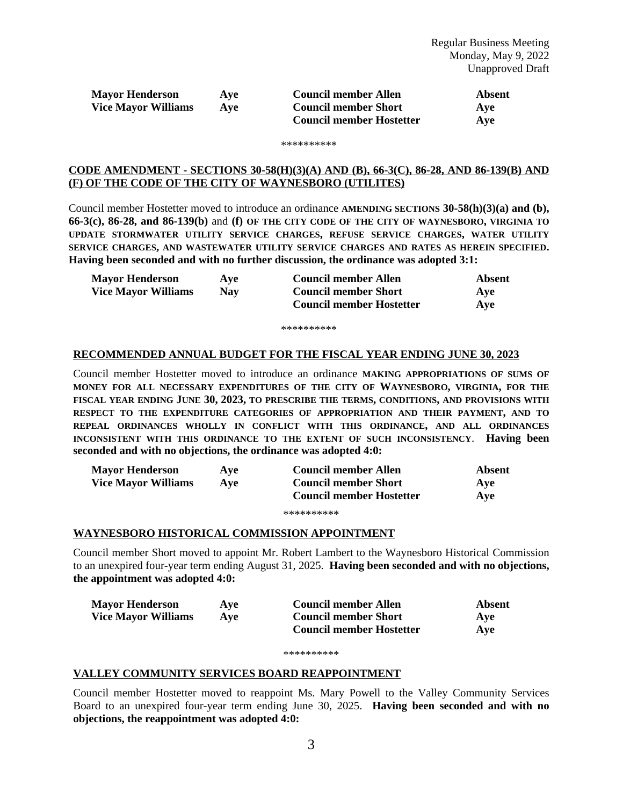| <b>Mayor Henderson</b>     | Ave | <b>Council member Allen</b>     | Absent |
|----------------------------|-----|---------------------------------|--------|
| <b>Vice Mayor Williams</b> | Ave | <b>Council member Short</b>     | Ave    |
|                            |     | <b>Council member Hostetter</b> | Ave    |

#### \*\*\*\*\*\*\*\*\*

#### **CODE AMENDMENT - SECTIONS 30-58(H)(3)(A) AND (B), 66-3(C), 86-28, AND 86-139(B) AND (F) OF THE CODE OF THE CITY OF WAYNESBORO (UTILITES)**

Council member Hostetter moved to introduce an ordinance **AMENDING SECTIONS 30-58(h)(3)(a) and (b), 66-3(c), 86-28, and 86-139(b)** and **(f) OF THE CITY CODE OF THE CITY OF WAYNESBORO, VIRGINIA TO UPDATE STORMWATER UTILITY SERVICE CHARGES, REFUSE SERVICE CHARGES, WATER UTILITY SERVICE CHARGES, AND WASTEWATER UTILITY SERVICE CHARGES AND RATES AS HEREIN SPECIFIED. Having been seconded and with no further discussion, the ordinance was adopted 3:1:**

| <b>Mayor Henderson</b>     | Ave | <b>Council member Allen</b>     | Absent |
|----------------------------|-----|---------------------------------|--------|
| <b>Vice Mayor Williams</b> | Nav | <b>Council member Short</b>     | Ave    |
|                            |     | <b>Council member Hostetter</b> | Ave    |

\*\*\*\*\*\*\*\*\*\*

#### **RECOMMENDED ANNUAL BUDGET FOR THE FISCAL YEAR ENDING JUNE 30, 2023**

Council member Hostetter moved to introduce an ordinance **MAKING APPROPRIATIONS OF SUMS OF MONEY FOR ALL NECESSARY EXPENDITURES OF THE CITY OF WAYNESBORO, VIRGINIA, FOR THE FISCAL YEAR ENDING JUNE 30, 2023, TO PRESCRIBE THE TERMS, CONDITIONS, AND PROVISIONS WITH RESPECT TO THE EXPENDITURE CATEGORIES OF APPROPRIATION AND THEIR PAYMENT, AND TO REPEAL ORDINANCES WHOLLY IN CONFLICT WITH THIS ORDINANCE, AND ALL ORDINANCES INCONSISTENT WITH THIS ORDINANCE TO THE EXTENT OF SUCH INCONSISTENCY**. **Having been seconded and with no objections, the ordinance was adopted 4:0:**

| <b>Mayor Henderson</b>     | Ave | <b>Council member Allen</b>     | Absent |
|----------------------------|-----|---------------------------------|--------|
| <b>Vice Mayor Williams</b> | Ave | <b>Council member Short</b>     | Ave    |
|                            |     | <b>Council member Hostetter</b> | Ave    |
|                            |     | **********                      |        |

### **WAYNESBORO HISTORICAL COMMISSION APPOINTMENT**

Council member Short moved to appoint Mr. Robert Lambert to the Waynesboro Historical Commission to an unexpired four-year term ending August 31, 2025. **Having been seconded and with no objections, the appointment was adopted 4:0:**

| <b>Mayor Henderson</b>     | Ave | <b>Council member Allen</b>     | Absent |
|----------------------------|-----|---------------------------------|--------|
| <b>Vice Mayor Williams</b> | Ave | <b>Council member Short</b>     | Ave    |
|                            |     | <b>Council member Hostetter</b> | Ave    |

#### \*\*\*\*\*\*\*\*\*\*

#### **VALLEY COMMUNITY SERVICES BOARD REAPPOINTMENT**

Council member Hostetter moved to reappoint Ms. Mary Powell to the Valley Community Services Board to an unexpired four-year term ending June 30, 2025. **Having been seconded and with no objections, the reappointment was adopted 4:0:**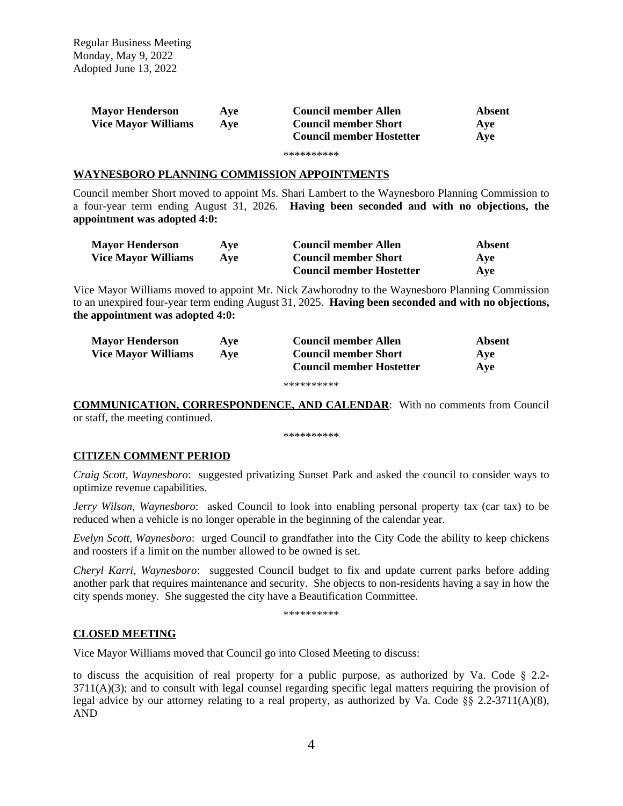Regular Business Meeting Monday, May 9, 2022 Adopted June 13, 2022

| <b>Mayor Henderson</b>     | Ave | <b>Council member Allen</b>     | Absent |
|----------------------------|-----|---------------------------------|--------|
| <b>Vice Mayor Williams</b> | Ave | <b>Council member Short</b>     | Ave    |
|                            |     | <b>Council member Hostetter</b> | Ave    |

#### \*\*\*\*\*\*\*\*\*\*

#### **WAYNESBORO PLANNING COMMISSION APPOINTMENTS**

Council member Short moved to appoint Ms. Shari Lambert to the Waynesboro Planning Commission to a four-year term ending August 31, 2026. **Having been seconded and with no objections, the appointment was adopted 4:0:**

| <b>Mayor Henderson</b>     | Ave | <b>Council member Allen</b>     | Absent |
|----------------------------|-----|---------------------------------|--------|
| <b>Vice Mayor Williams</b> | Ave | <b>Council member Short</b>     | Ave    |
|                            |     | <b>Council member Hostetter</b> | Ave    |

Vice Mayor Williams moved to appoint Mr. Nick Zawhorodny to the Waynesboro Planning Commission to an unexpired four-year term ending August 31, 2025. **Having been seconded and with no objections, the appointment was adopted 4:0:**

| <b>Mayor Henderson</b>     | Ave | <b>Council member Allen</b>     | Absent     |
|----------------------------|-----|---------------------------------|------------|
| <b>Vice Mayor Williams</b> | Ave | <b>Council member Short</b>     | <b>Ave</b> |
|                            |     | <b>Council member Hostetter</b> | Ave        |
|                            |     |                                 |            |

\*\*\*\*\*\*\*\*\*\*

**COMMUNICATION, CORRESPONDENCE, AND CALENDAR**: With no comments from Council or staff, the meeting continued.

\*\*\*\*\*\*\*\*\*\*

### **CITIZEN COMMENT PERIOD**

*Craig Scott, Waynesboro*: suggested privatizing Sunset Park and asked the council to consider ways to optimize revenue capabilities.

*Jerry Wilson, Waynesboro*: asked Council to look into enabling personal property tax (car tax) to be reduced when a vehicle is no longer operable in the beginning of the calendar year.

*Evelyn Scott, Waynesboro*: urged Council to grandfather into the City Code the ability to keep chickens and roosters if a limit on the number allowed to be owned is set.

*Cheryl Karri, Waynesboro*: suggested Council budget to fix and update current parks before adding another park that requires maintenance and security. She objects to non-residents having a say in how the city spends money. She suggested the city have a Beautification Committee.

\*\*\*\*\*\*\*\*\*\*

### **CLOSED MEETING**

Vice Mayor Williams moved that Council go into Closed Meeting to discuss:

to discuss the acquisition of real property for a public purpose, as authorized by Va. Code  $\S$  2.2-3711(A)(3); and to consult with legal counsel regarding specific legal matters requiring the provision of legal advice by our attorney relating to a real property, as authorized by Va. Code §§ 2.2-3711(A)(8), AND